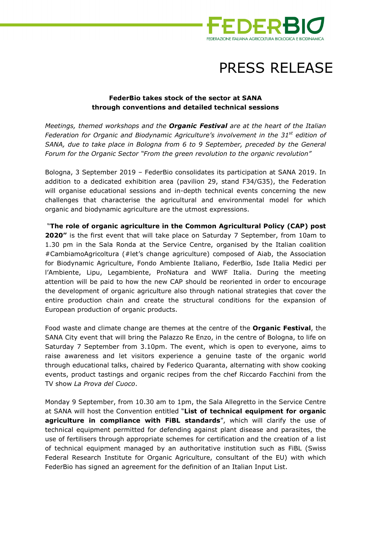

## PRESS RELEASE

## **FederBio takes stock of the sector at SANA through conventions and detailed technical sessions**

*Meetings, themed workshops and the Organic Festival are at the heart of the Italian Federation for Organic and Biodynamic Agriculture's involvement in the 31st edition of SANA, due to take place in Bologna from 6 to 9 September, preceded by the General Forum for the Organic Sector "From the green revolution to the organic revolution"* 

Bologna, 3 September 2019 – FederBio consolidates its participation at SANA 2019. In addition to a dedicated exhibition area (pavilion 29, stand F34/G35), the Federation will organise educational sessions and in-depth technical events concerning the new challenges that characterise the agricultural and environmental model for which organic and biodynamic agriculture are the utmost expressions.

 "**The role of organic agriculture in the Common Agricultural Policy (CAP) post 2020"** is the first event that will take place on Saturday 7 September, from 10am to 1.30 pm in the Sala Ronda at the Service Centre, organised by the Italian coalition #CambiamoAgricoltura (#let's change agriculture) composed of Aiab, the Association for Biodynamic Agriculture, Fondo Ambiente Italiano, FederBio, Isde Italia Medici per l'Ambiente, Lipu, Legambiente, ProNatura and WWF Italia. During the meeting attention will be paid to how the new CAP should be reoriented in order to encourage the development of organic agriculture also through national strategies that cover the entire production chain and create the structural conditions for the expansion of European production of organic products.

Food waste and climate change are themes at the centre of the **Organic Festival**, the SANA City event that will bring the Palazzo Re Enzo, in the centre of Bologna, to life on Saturday 7 September from 3.10pm. The event, which is open to everyone, aims to raise awareness and let visitors experience a genuine taste of the organic world through educational talks, chaired by Federico Quaranta, alternating with show cooking events, product tastings and organic recipes from the chef Riccardo Facchini from the TV show *La Prova del Cuoco*.

Monday 9 September, from 10.30 am to 1pm, the Sala Allegretto in the Service Centre at SANA will host the Convention entitled "**List of technical equipment for organic agriculture in compliance with FiBL standards**", which will clarify the use of technical equipment permitted for defending against plant disease and parasites, the use of fertilisers through appropriate schemes for certification and the creation of a list of technical equipment managed by an authoritative institution such as FiBL (Swiss Federal Research Institute for Organic Agriculture, consultant of the EU) with which FederBio has signed an agreement for the definition of an Italian Input List.